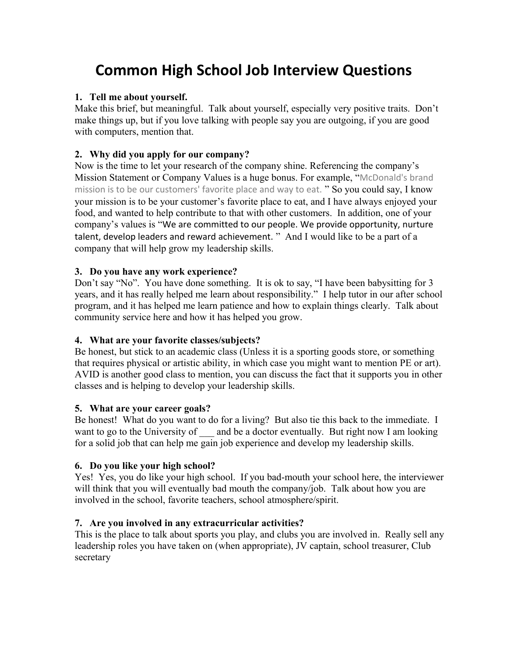# **Common High School Job Interview Questions**

## **1. Tell me about yourself.**

Make this brief, but meaningful. Talk about yourself, especially very positive traits. Don't make things up, but if you love talking with people say you are outgoing, if you are good with computers, mention that.

# **2. Why did you apply for our company?**

Now is the time to let your research of the company shine. Referencing the company's Mission Statement or Company Values is a huge bonus. For example, "McDonald's brand mission is to be our customers' favorite place and way to eat. " So you could say, I know your mission is to be your customer's favorite place to eat, and I have always enjoyed your food, and wanted to help contribute to that with other customers. In addition, one of your company's values is "We are committed to our people. We provide opportunity, nurture talent, develop leaders and reward achievement. " And I would like to be a part of a company that will help grow my leadership skills.

## **3. Do you have any work experience?**

Don't say "No". You have done something. It is ok to say, "I have been babysitting for 3 years, and it has really helped me learn about responsibility." I help tutor in our after school program, and it has helped me learn patience and how to explain things clearly. Talk about community service here and how it has helped you grow.

# **4. What are your favorite classes/subjects?**

Be honest, but stick to an academic class (Unless it is a sporting goods store, or something that requires physical or artistic ability, in which case you might want to mention PE or art). AVID is another good class to mention, you can discuss the fact that it supports you in other classes and is helping to develop your leadership skills.

### **5. What are your career goals?**

Be honest! What do you want to do for a living? But also tie this back to the immediate. I want to go to the University of and be a doctor eventually. But right now I am looking for a solid job that can help me gain job experience and develop my leadership skills.

### **6. Do you like your high school?**

Yes! Yes, you do like your high school. If you bad-mouth your school here, the interviewer will think that you will eventually bad mouth the company/job. Talk about how you are involved in the school, favorite teachers, school atmosphere/spirit.

### **7. Are you involved in any extracurricular activities?**

This is the place to talk about sports you play, and clubs you are involved in. Really sell any leadership roles you have taken on (when appropriate), JV captain, school treasurer, Club secretary